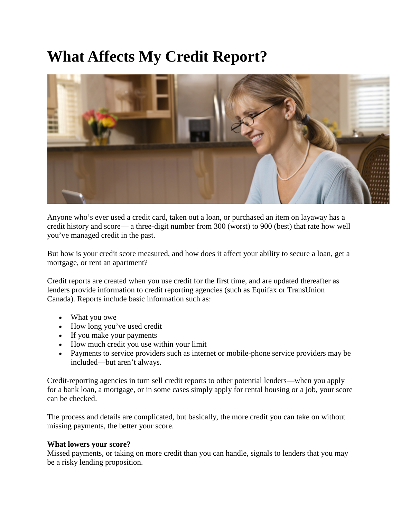## **What Affects My Credit Report?**



Anyone who's ever used a credit card, taken out a loan, or purchased an item on layaway has a credit history and score— a three-digit number from 300 (worst) to 900 (best) that rate how well you've managed credit in the past.

But how is your credit score measured, and how does it affect your ability to secure a loan, get a mortgage, or rent an apartment?

Credit reports are created when you use credit for the first time, and are updated thereafter as lenders provide information to credit reporting agencies (such as Equifax or TransUnion Canada). Reports include basic information such as:

- What you owe
- How long you've used credit
- If you make your payments
- How much credit you use within your limit
- Payments to service providers such as internet or mobile-phone service providers may be included—but aren't always.

Credit-reporting agencies in turn sell credit reports to other potential lenders—when you apply for a bank loan, a mortgage, or in some cases simply apply for rental housing or a job, your score can be checked.

The process and details are complicated, but basically, the more credit you can take on without missing payments, the better your score.

## **What lowers your score?**

Missed payments, or taking on more credit than you can handle, signals to lenders that you may be a risky lending proposition.